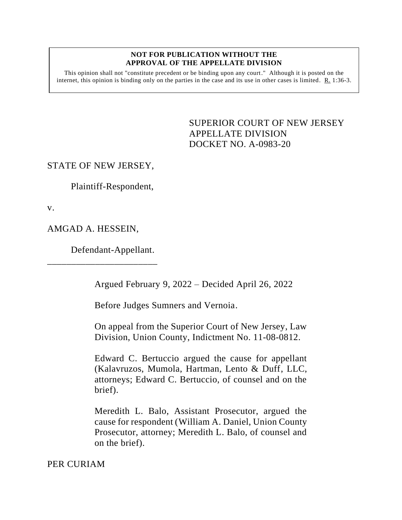#### **NOT FOR PUBLICATION WITHOUT THE APPROVAL OF THE APPELLATE DIVISION**

This opinion shall not "constitute precedent or be binding upon any court." Although it is posted on the internet, this opinion is binding only on the parties in the case and its use in other cases is limited.  $R_1$  1:36-3.

> <span id="page-0-0"></span>SUPERIOR COURT OF NEW JERSEY APPELLATE DIVISION DOCKET NO. A-0983-20

### STATE OF NEW JERSEY,

Plaintiff-Respondent,

v.

AMGAD A. HESSEIN,

Defendant-Appellant.

\_\_\_\_\_\_\_\_\_\_\_\_\_\_\_\_\_\_\_\_\_\_\_

Argued February 9, 2022 – Decided April 26, 2022

Before Judges Sumners and Vernoia.

On appeal from the Superior Court of New Jersey, Law Division, Union County, Indictment No. 11-08-0812.

Edward C. Bertuccio argued the cause for appellant (Kalavruzos, Mumola, Hartman, Lento & Duff, LLC, attorneys; Edward C. Bertuccio, of counsel and on the brief).

Meredith L. Balo, Assistant Prosecutor, argued the cause for respondent (William A. Daniel, Union County Prosecutor, attorney; Meredith L. Balo, of counsel and on the brief).

PER CURIAM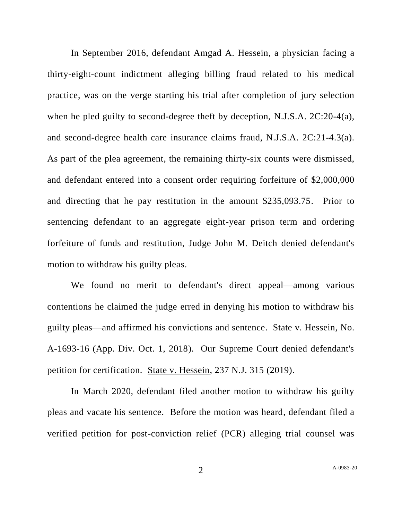In September 2016, defendant Amgad A. Hessein, a physician facing a thirty-eight-count indictment alleging billing fraud related to his medical practice, was on the verge starting his trial after completion of jury selection when he pled guilty to second-degree theft by deception, N.J.S.A. 2C:20-4(a), and second-degree health care insurance claims fraud, N.J.S.A. 2C:21-4.3(a). As part of the plea agreement, the remaining thirty-six counts were dismissed, and defendant entered into a consent order requiring forfeiture of \$2,000,000 and directing that he pay restitution in the amount \$235,093.75. Prior to sentencing defendant to an aggregate eight-year prison term and ordering forfeiture of funds and restitution, Judge John M. Deitch denied defendant's motion to withdraw his guilty pleas.

We found no merit to defendant's direct appeal—among various contentions he claimed the judge erred in denying his motion to withdraw his guilty pleas––and affirmed his convictions and sentence. State v. Hessein, No. A-1693-16 (App. Div. Oct. 1, 2018). Our Supreme Court denied defendant's petition for certification. State v. Hessein, 237 N.J. 315 (2019).

In March 2020, defendant filed another motion to withdraw his guilty pleas and vacate his sentence. Before the motion was heard, defendant filed a verified petition for post-conviction relief (PCR) alleging trial counsel was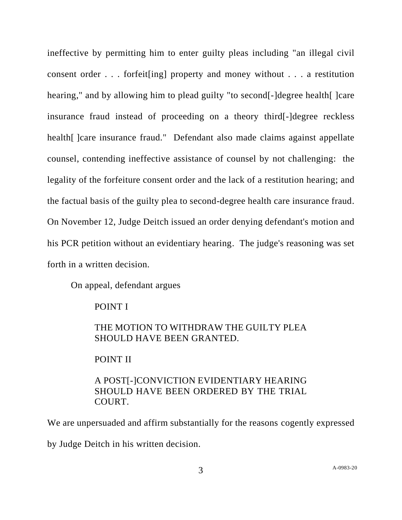ineffective by permitting him to enter guilty pleas including "an illegal civil consent order . . . forfeit[ing] property and money without . . . a restitution hearing," and by allowing him to plead guilty "to second<sup>[-</sup>]degree health<sup>[-</sup>]care insurance fraud instead of proceeding on a theory third[-]degree reckless health [ ] care insurance fraud." Defendant also made claims against appellate counsel, contending ineffective assistance of counsel by not challenging: the legality of the forfeiture consent order and the lack of a restitution hearing; and the factual basis of the guilty plea to second-degree health care insurance fraud. On November 12, Judge Deitch issued an order denying defendant's motion and his PCR petition without an evidentiary hearing. The judge's reasoning was set forth in a written decision.

On appeal, defendant argues

POINT I

## THE MOTION TO WITHDRAW THE GUILTY PLEA SHOULD HAVE BEEN GRANTED.

POINT II

# A POST[-]CONVICTION EVIDENTIARY HEARING SHOULD HAVE BEEN ORDERED BY THE TRIAL COURT.

We are unpersuaded and affirm substantially for the reasons cogently expressed by Judge Deitch in his written decision.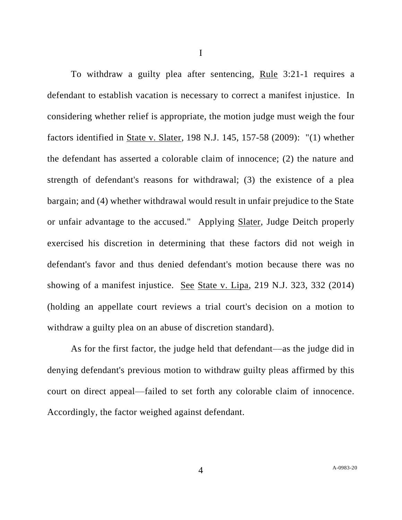To withdraw a guilty plea after sentencing, Rule 3:21-1 requires a defendant to establish vacation is necessary to correct a manifest injustice. In considering whether relief is appropriate, the motion judge must weigh the four factors identified in State v. Slater, 198 N.J. 145, 157-58 (2009): "(1) whether the defendant has asserted a colorable claim of innocence; (2) the nature and strength of defendant's reasons for withdrawal; (3) the existence of a plea bargain; and (4) whether withdrawal would result in unfair prejudice to the State or unfair advantage to the accused." Applying Slater, Judge Deitch properly exercised his discretion in determining that these factors did not weigh in defendant's favor and thus denied defendant's motion because there was no showing of a manifest injustice. See State v. Lipa, 219 N.J. 323, 332 (2014) (holding an appellate court reviews a trial court's decision on a motion to withdraw a guilty plea on an abuse of discretion standard).

As for the first factor, the judge held that defendant—as the judge did in denying defendant's previous motion to withdraw guilty pleas affirmed by this court on direct appeal––failed to set forth any colorable claim of innocence. Accordingly, the factor weighed against defendant.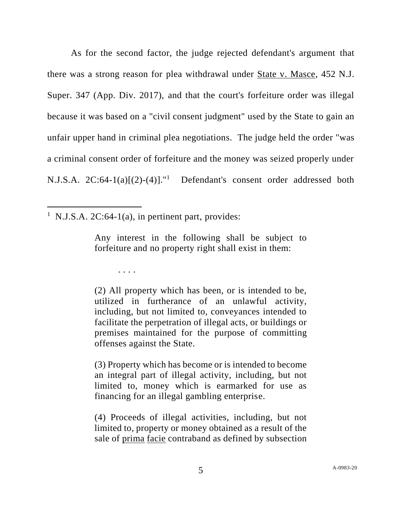As for the second factor, the judge rejected defendant's argument that there was a strong reason for plea withdrawal under State v. Masce, 452 N.J. Super. 347 (App. Div. 2017), and that the court's forfeiture order was illegal because it was based on a "civil consent judgment" used by the State to gain an unfair upper hand in criminal plea negotiations. The judge held the order "was a criminal consent order of forfeiture and the money was seized properly under N.J.S.A.  $2C:64-1(a)[(2)-(4)]$ ." Defendant's consent order addressed both

<sup>1</sup> N.J.S.A. 2C:64-1(a), in pertinent part, provides:

. . . .

Any interest in the following shall be subject to forfeiture and no property right shall exist in them:

(2) All property which has been, or is intended to be, utilized in furtherance of an unlawful activity, including, but not limited to, conveyances intended to facilitate the perpetration of illegal acts, or buildings or premises maintained for the purpose of committing offenses against the State.

(3) Property which has become or is intended to become an integral part of illegal activity, including, but not limited to, money which is earmarked for use as financing for an illegal gambling enterprise.

(4) Proceeds of illegal activities, including, but not limited to, property or money obtained as a result of the sale of prima facie contraband as defined by subsection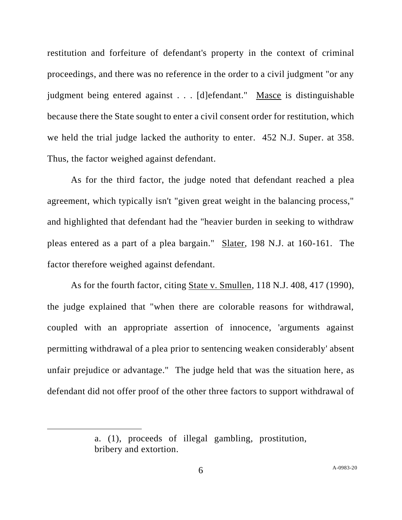restitution and forfeiture of defendant's property in the context of criminal proceedings, and there was no reference in the order to a civil judgment "or any judgment being entered against . . . [d]efendant." Masce is distinguishable because there the State sought to enter a civil consent order for restitution, which we held the trial judge lacked the authority to enter. 452 N.J. Super. at 358. Thus, the factor weighed against defendant.

As for the third factor, the judge noted that defendant reached a plea agreement, which typically isn't "given great weight in the balancing process," and highlighted that defendant had the "heavier burden in seeking to withdraw pleas entered as a part of a plea bargain." Slater, 198 N.J. at 160-161. The factor therefore weighed against defendant.

As for the fourth factor, citing State v. Smullen, 118 N.J. 408, 417 (1990), the judge explained that "when there are colorable reasons for withdrawal, coupled with an appropriate assertion of innocence, 'arguments against permitting withdrawal of a plea prior to sentencing weaken considerably' absent unfair prejudice or advantage." The judge held that was the situation here, as defendant did not offer proof of the other three factors to support withdrawal of

a. (1), proceeds of illegal gambling, prostitution, bribery and extortion.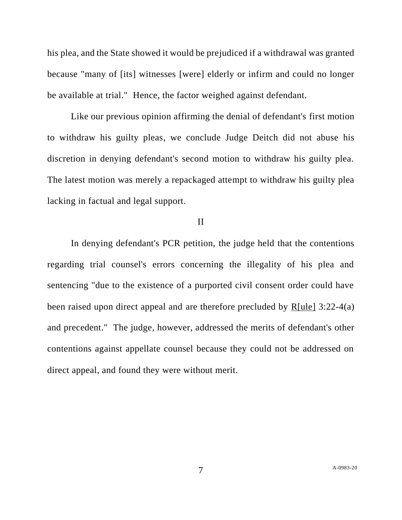his plea, and the State showed it would be prejudiced if a withdrawal was granted because "many of [its] witnesses [were] elderly or infirm and could no longer be available at trial." Hence, the factor weighed against defendant.

Like our previous opinion affirming the denial of defendant's first motion to withdraw his guilty pleas, we conclude Judge Deitch did not abuse his discretion in denying defendant's second motion to withdraw his guilty plea. The latest motion was merely a repackaged attempt to withdraw his guilty plea lacking in factual and legal support.

#### II

In denying defendant's PCR petition, the judge held that the contentions regarding trial counsel's errors concerning the illegality of his plea and sentencing "due to the existence of a purported civil consent order could have been raised upon direct appeal and are therefore precluded by R[ule] 3:22-4(a) and precedent." The judge, however, addressed the merits of defendant's other contentions against appellate counsel because they could not be addressed on direct appeal, and found they were without merit.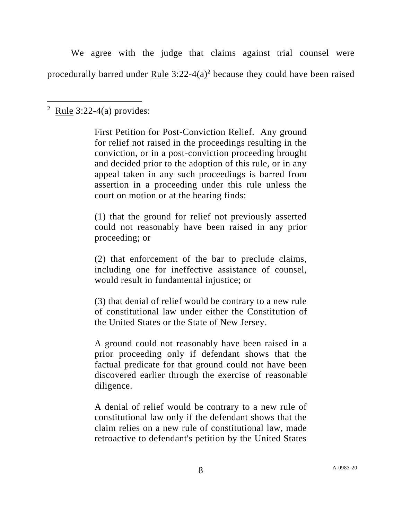We agree with the judge that claims against trial counsel were procedurally barred under Rule  $3:22-4(a)^2$  because they could have been raised

First Petition for Post-Conviction Relief. Any ground for relief not raised in the proceedings resulting in the conviction, or in a post-conviction proceeding brought and decided prior to the adoption of this rule, or in any appeal taken in any such proceedings is barred from assertion in a proceeding under this rule unless the court on motion or at the hearing finds:

(1) that the ground for relief not previously asserted could not reasonably have been raised in any prior proceeding; or

(2) that enforcement of the bar to preclude claims, including one for ineffective assistance of counsel, would result in fundamental injustice; or

(3) that denial of relief would be contrary to a new rule of constitutional law under either the Constitution of the United States or the State of New Jersey.

A ground could not reasonably have been raised in a prior proceeding only if defendant shows that the factual predicate for that ground could not have been discovered earlier through the exercise of reasonable diligence.

A denial of relief would be contrary to a new rule of constitutional law only if the defendant shows that the claim relies on a new rule of constitutional law, made retroactive to defendant's petition by the United States

<sup>&</sup>lt;sup>2</sup> Rule 3:22-4(a) provides: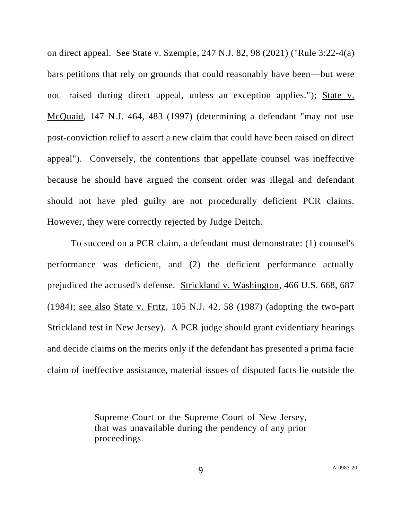on direct appeal. See State v. Szemple, 247 N.J. 82, 98 (2021) ("Rule 3:22-4(a) bars petitions that rely on grounds that could reasonably have been—but were not—raised during direct appeal, unless an exception applies."); State v. McQuaid, 147 N.J. 464, 483 (1997) (determining a defendant "may not use post-conviction relief to assert a new claim that could have been raised on direct appeal"). Conversely, the contentions that appellate counsel was ineffective because he should have argued the consent order was illegal and defendant should not have pled guilty are not procedurally deficient PCR claims. However, they were correctly rejected by Judge Deitch.

To succeed on a PCR claim, a defendant must demonstrate: (1) counsel's performance was deficient, and (2) the deficient performance actually prejudiced the accused's defense. Strickland v. Washington, 466 U.S. 668, 687 (1984); see also State v. Fritz, 105 N.J. 42, 58 (1987) (adopting the two-part Strickland test in New Jersey). A PCR judge should grant evidentiary hearings and decide claims on the merits only if the defendant has presented a prima facie claim of ineffective assistance, material issues of disputed facts lie outside the

Supreme Court or the Supreme Court of New Jersey, that was unavailable during the pendency of any prior proceedings.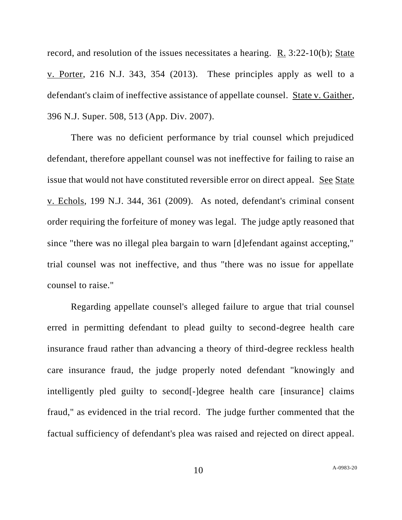record, and resolution of the issues necessitates a hearing. R. 3:22-10(b); State v. Porter, 216 N.J. 343, 354 (2013). These principles apply as well to a defendant's claim of ineffective assistance of appellate counsel. State v. Gaither, 396 N.J. Super. 508, 513 (App. Div. 2007).

There was no deficient performance by trial counsel which prejudiced defendant, therefore appellant counsel was not ineffective for failing to raise an issue that would not have constituted reversible error on direct appeal. See State v. Echols, 199 N.J. 344, 361 (2009). As noted, defendant's criminal consent order requiring the forfeiture of money was legal. The judge aptly reasoned that since "there was no illegal plea bargain to warn [d]efendant against accepting," trial counsel was not ineffective, and thus "there was no issue for appellate counsel to raise."

Regarding appellate counsel's alleged failure to argue that trial counsel erred in permitting defendant to plead guilty to second-degree health care insurance fraud rather than advancing a theory of third-degree reckless health care insurance fraud, the judge properly noted defendant "knowingly and intelligently pled guilty to second[-]degree health care [insurance] claims fraud," as evidenced in the trial record. The judge further commented that the factual sufficiency of defendant's plea was raised and rejected on direct appeal.